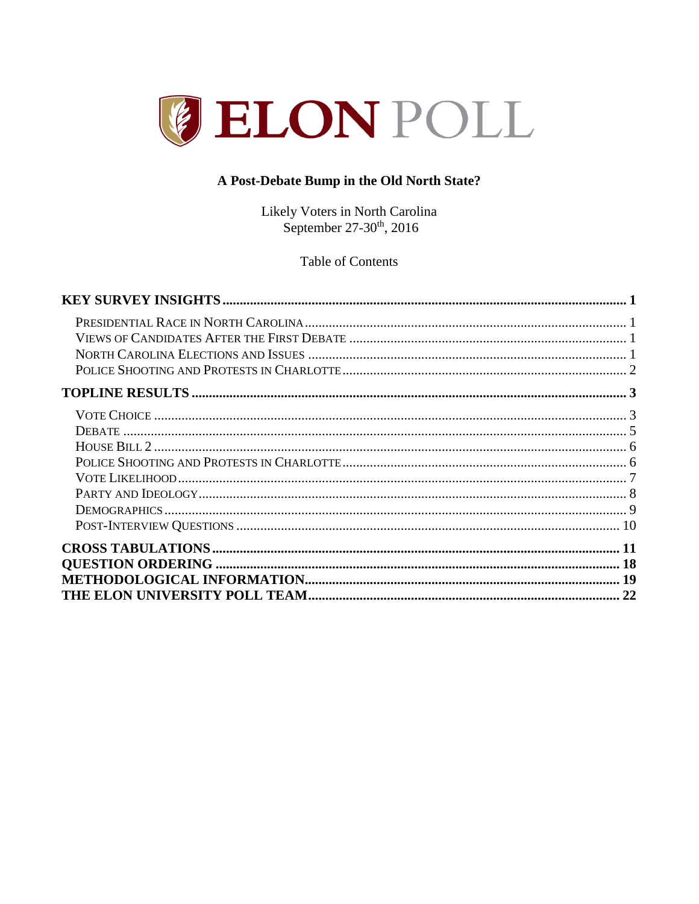

# A Post-Debate Bump in the Old North State?

Likely Voters in North Carolina<br>September 27-30<sup>th</sup>, 2016

**Table of Contents**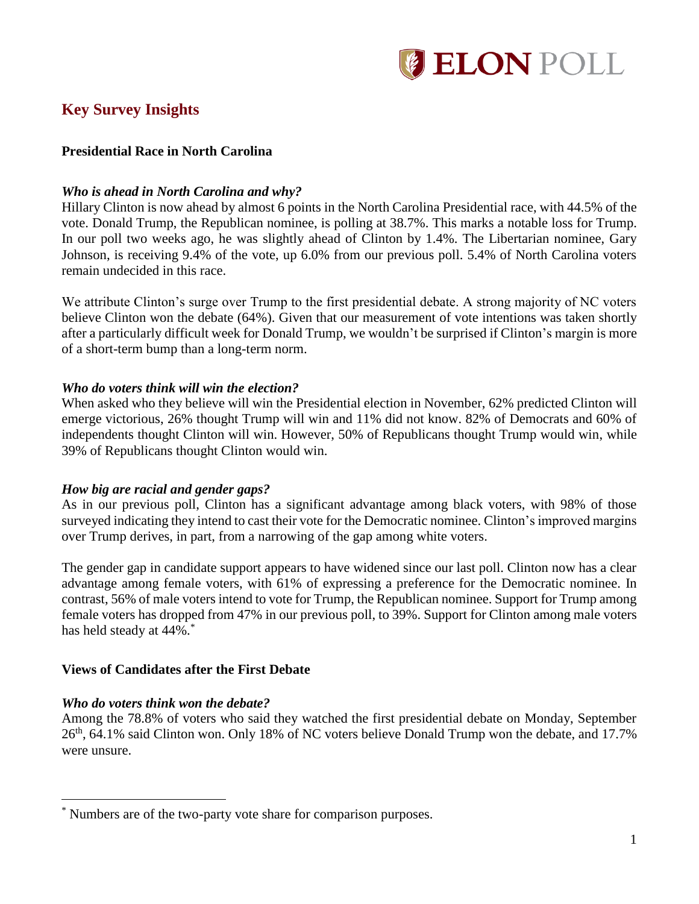

# <span id="page-1-0"></span>**Key Survey Insights**

## <span id="page-1-1"></span>**Presidential Race in North Carolina**

#### *Who is ahead in North Carolina and why?*

Hillary Clinton is now ahead by almost 6 points in the North Carolina Presidential race, with 44.5% of the vote. Donald Trump, the Republican nominee, is polling at 38.7%. This marks a notable loss for Trump. In our poll two weeks ago, he was slightly ahead of Clinton by 1.4%. The Libertarian nominee, Gary Johnson, is receiving 9.4% of the vote, up 6.0% from our previous poll. 5.4% of North Carolina voters remain undecided in this race.

We attribute Clinton's surge over Trump to the first presidential debate. A strong majority of NC voters believe Clinton won the debate (64%). Given that our measurement of vote intentions was taken shortly after a particularly difficult week for Donald Trump, we wouldn't be surprised if Clinton's margin is more of a short-term bump than a long-term norm.

#### *Who do voters think will win the election?*

When asked who they believe will win the Presidential election in November, 62% predicted Clinton will emerge victorious, 26% thought Trump will win and 11% did not know. 82% of Democrats and 60% of independents thought Clinton will win. However, 50% of Republicans thought Trump would win, while 39% of Republicans thought Clinton would win.

#### *How big are racial and gender gaps?*

As in our previous poll, Clinton has a significant advantage among black voters, with 98% of those surveyed indicating they intend to cast their vote for the Democratic nominee. Clinton's improved margins over Trump derives, in part, from a narrowing of the gap among white voters.

The gender gap in candidate support appears to have widened since our last poll. Clinton now has a clear advantage among female voters, with 61% of expressing a preference for the Democratic nominee. In contrast, 56% of male voters intend to vote for Trump, the Republican nominee. Support for Trump among female voters has dropped from 47% in our previous poll, to 39%. Support for Clinton among male voters has held steady at 44%.<sup>\*</sup>

#### <span id="page-1-2"></span>**Views of Candidates after the First Debate**

#### *Who do voters think won the debate?*

 $\overline{a}$ 

Among the 78.8% of voters who said they watched the first presidential debate on Monday, September 26<sup>th</sup>, 64.1% said Clinton won. Only 18% of NC voters believe Donald Trump won the debate, and 17.7% were unsure.

<sup>\*</sup> Numbers are of the two-party vote share for comparison purposes.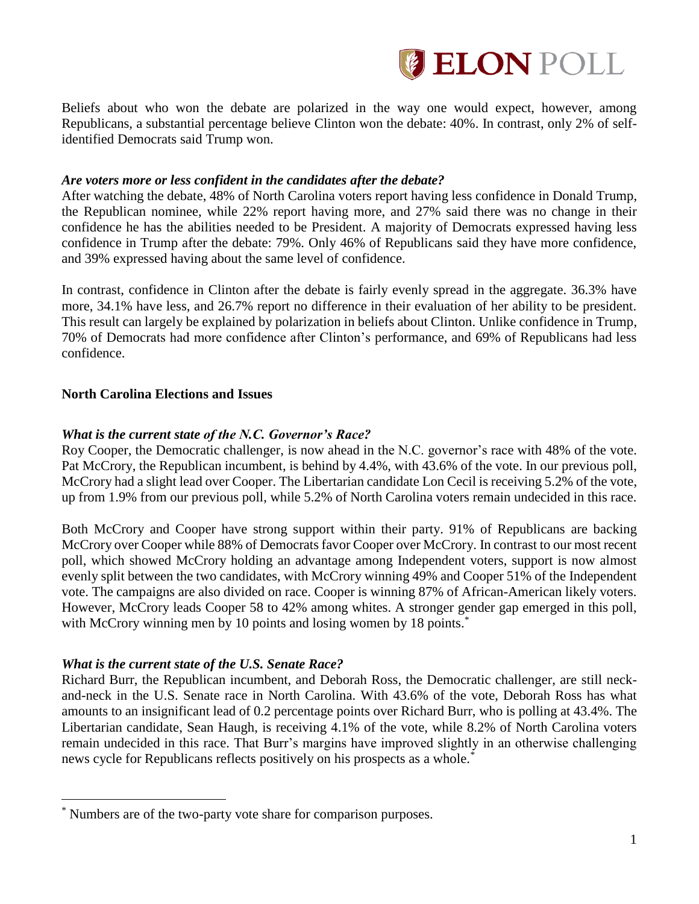

Beliefs about who won the debate are polarized in the way one would expect, however, among Republicans, a substantial percentage believe Clinton won the debate: 40%. In contrast, only 2% of selfidentified Democrats said Trump won.

#### *Are voters more or less confident in the candidates after the debate?*

After watching the debate, 48% of North Carolina voters report having less confidence in Donald Trump, the Republican nominee, while 22% report having more, and 27% said there was no change in their confidence he has the abilities needed to be President. A majority of Democrats expressed having less confidence in Trump after the debate: 79%. Only 46% of Republicans said they have more confidence, and 39% expressed having about the same level of confidence.

In contrast, confidence in Clinton after the debate is fairly evenly spread in the aggregate. 36.3% have more, 34.1% have less, and 26.7% report no difference in their evaluation of her ability to be president. This result can largely be explained by polarization in beliefs about Clinton. Unlike confidence in Trump, 70% of Democrats had more confidence after Clinton's performance, and 69% of Republicans had less confidence.

## <span id="page-2-0"></span>**North Carolina Elections and Issues**

## *What is the current state of the N.C. Governor's Race?*

Roy Cooper, the Democratic challenger, is now ahead in the N.C. governor's race with 48% of the vote. Pat McCrory, the Republican incumbent, is behind by 4.4%, with 43.6% of the vote. In our previous poll, McCrory had a slight lead over Cooper. The Libertarian candidate Lon Cecil is receiving 5.2% of the vote, up from 1.9% from our previous poll, while 5.2% of North Carolina voters remain undecided in this race.

Both McCrory and Cooper have strong support within their party. 91% of Republicans are backing McCrory over Cooper while 88% of Democrats favor Cooper over McCrory. In contrast to our most recent poll, which showed McCrory holding an advantage among Independent voters, support is now almost evenly split between the two candidates, with McCrory winning 49% and Cooper 51% of the Independent vote. The campaigns are also divided on race. Cooper is winning 87% of African-American likely voters. However, McCrory leads Cooper 58 to 42% among whites. A stronger gender gap emerged in this poll, with McCrory winning men by 10 points and losing women by 18 points.<sup>\*</sup>

#### *What is the current state of the U.S. Senate Race?*

 $\overline{a}$ 

Richard Burr, the Republican incumbent, and Deborah Ross, the Democratic challenger, are still neckand-neck in the U.S. Senate race in North Carolina. With 43.6% of the vote, Deborah Ross has what amounts to an insignificant lead of 0.2 percentage points over Richard Burr, who is polling at 43.4%. The Libertarian candidate, Sean Haugh, is receiving 4.1% of the vote, while 8.2% of North Carolina voters remain undecided in this race. That Burr's margins have improved slightly in an otherwise challenging news cycle for Republicans reflects positively on his prospects as a whole.\*

<sup>\*</sup> Numbers are of the two-party vote share for comparison purposes.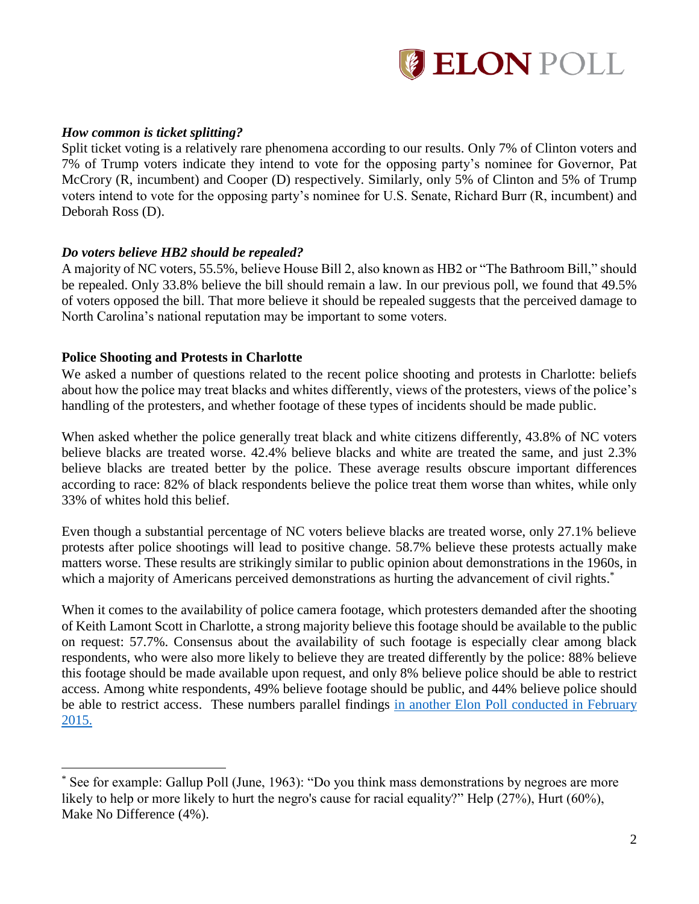

#### *How common is ticket splitting?*

Split ticket voting is a relatively rare phenomena according to our results. Only 7% of Clinton voters and 7% of Trump voters indicate they intend to vote for the opposing party's nominee for Governor, Pat McCrory (R, incumbent) and Cooper (D) respectively. Similarly, only 5% of Clinton and 5% of Trump voters intend to vote for the opposing party's nominee for U.S. Senate, Richard Burr (R, incumbent) and Deborah Ross (D).

## *Do voters believe HB2 should be repealed?*

A majority of NC voters, 55.5%, believe House Bill 2, also known as HB2 or "The Bathroom Bill," should be repealed. Only 33.8% believe the bill should remain a law. In our previous poll, we found that 49.5% of voters opposed the bill. That more believe it should be repealed suggests that the perceived damage to North Carolina's national reputation may be important to some voters.

## <span id="page-3-0"></span>**Police Shooting and Protests in Charlotte**

 $\overline{a}$ 

We asked a number of questions related to the recent police shooting and protests in Charlotte: beliefs about how the police may treat blacks and whites differently, views of the protesters, views of the police's handling of the protesters, and whether footage of these types of incidents should be made public.

When asked whether the police generally treat black and white citizens differently, 43.8% of NC voters believe blacks are treated worse. 42.4% believe blacks and white are treated the same, and just 2.3% believe blacks are treated better by the police. These average results obscure important differences according to race: 82% of black respondents believe the police treat them worse than whites, while only 33% of whites hold this belief.

Even though a substantial percentage of NC voters believe blacks are treated worse, only 27.1% believe protests after police shootings will lead to positive change. 58.7% believe these protests actually make matters worse. These results are strikingly similar to public opinion about demonstrations in the 1960s, in which a majority of Americans perceived demonstrations as hurting the advancement of civil rights.<sup>\*</sup>

When it comes to the availability of police camera footage, which protesters demanded after the shooting of Keith Lamont Scott in Charlotte, a strong majority believe this footage should be available to the public on request: 57.7%. Consensus about the availability of such footage is especially clear among black respondents, who were also more likely to believe they are treated differently by the police: 88% believe this footage should be made available upon request, and only 8% believe police should be able to restrict access. Among white respondents, 49% believe footage should be public, and 44% believe police should be able to restrict access. These numbers parallel findings in [another Elon Poll conducted in February](https://www.elon.edu/docs/e-web/elonpoll/031115_ElonPoll_ExecSummary.pdf#page=7)  [2015.](https://www.elon.edu/docs/e-web/elonpoll/031115_ElonPoll_ExecSummary.pdf#page=7)

See for example: Gallup Poll (June, 1963): "Do you think mass demonstrations by negroes are more likely to help or more likely to hurt the negro's cause for racial equality?" Help (27%), Hurt (60%), Make No Difference (4%).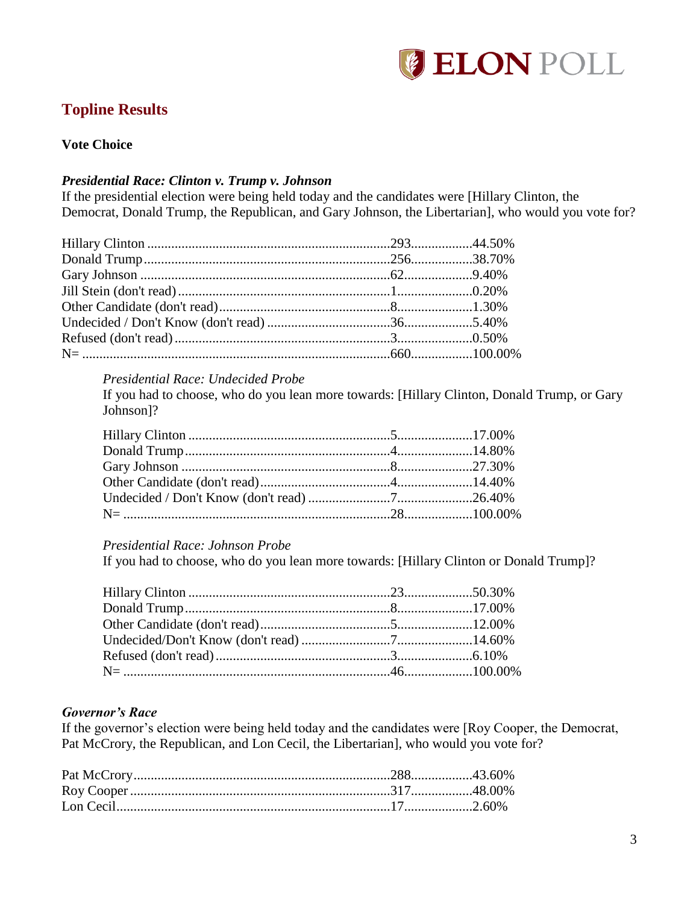

# <span id="page-4-0"></span>**Topline Results**

#### <span id="page-4-1"></span>**Vote Choice**

#### *Presidential Race: Clinton v. Trump v. Johnson*

If the presidential election were being held today and the candidates were [Hillary Clinton, the Democrat, Donald Trump, the Republican, and Gary Johnson, the Libertarian], who would you vote for?

## *Presidential Race: Undecided Probe*

If you had to choose, who do you lean more towards: [Hillary Clinton, Donald Trump, or Gary Johnson]?

#### *Presidential Race: Johnson Probe*

If you had to choose, who do you lean more towards: [Hillary Clinton or Donald Trump]?

#### *Governor's Race*

If the governor's election were being held today and the candidates were [Roy Cooper, the Democrat, Pat McCrory, the Republican, and Lon Cecil, the Libertarian], who would you vote for?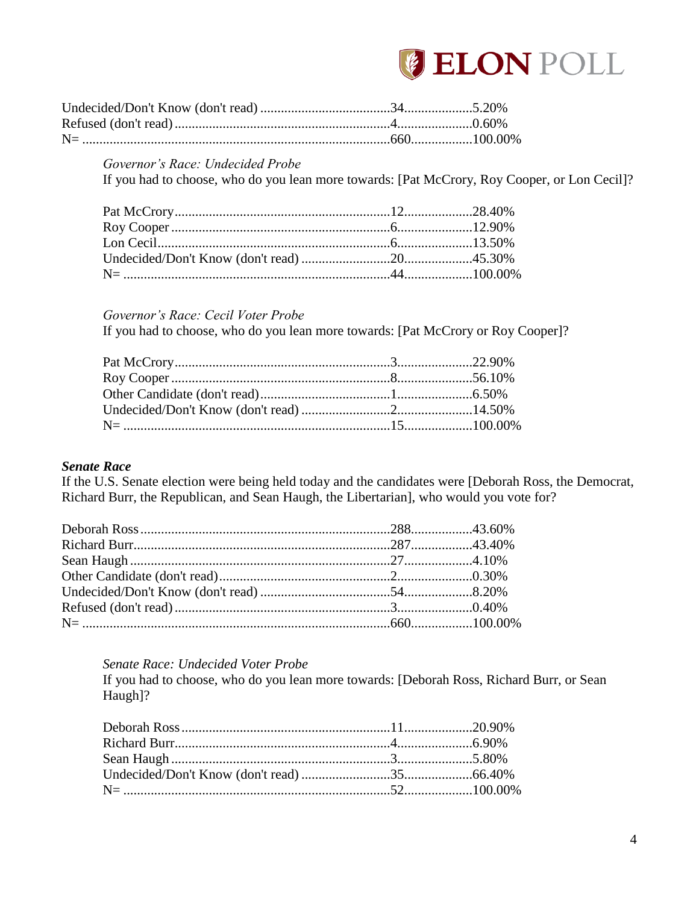

#### Governor's Race: Undecided Probe

If you had to choose, who do you lean more towards: [Pat McCrory, Roy Cooper, or Lon Cecil]?

#### Governor's Race: Cecil Voter Probe

If you had to choose, who do you lean more towards: [Pat McCrory or Roy Cooper]?

## **Senate Race**

If the U.S. Senate election were being held today and the candidates were [Deborah Ross, the Democrat, Richard Burr, the Republican, and Sean Haugh, the Libertarian], who would you vote for?

#### Senate Race: Undecided Voter Probe

If you had to choose, who do you lean more towards: [Deborah Ross, Richard Burr, or Sean Haugh]?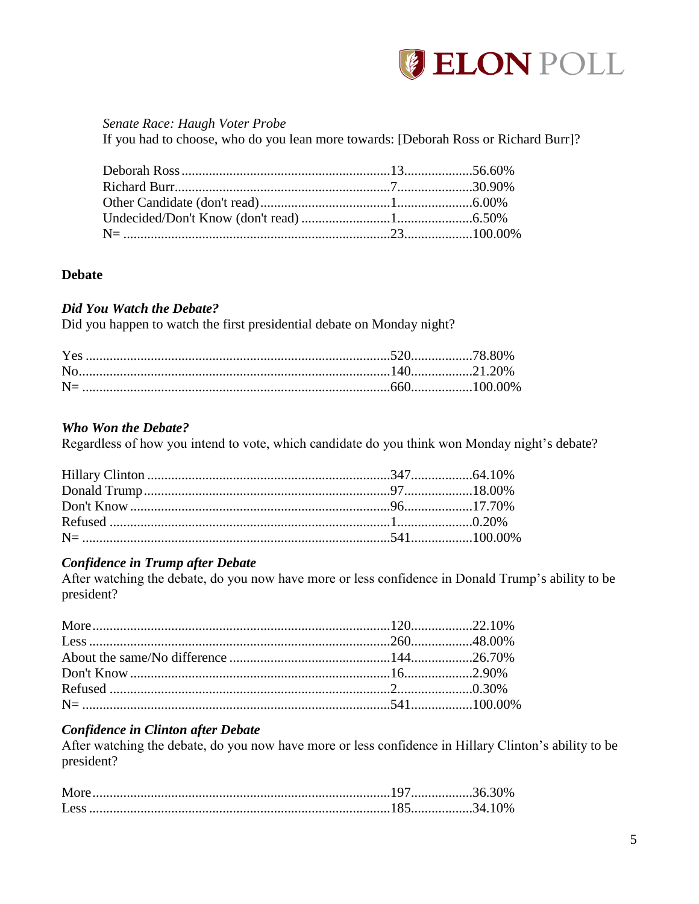

#### Senate Race: Haugh Voter Probe If you had to choose, who do you lean more towards: [Deborah Ross or Richard Burr]?

# <span id="page-6-0"></span>**Debate**

## **Did You Watch the Debate?**

Did you happen to watch the first presidential debate on Monday night?

# Who Won the Debate?

Regardless of how you intend to vote, which candidate do you think won Monday night's debate?

# **Confidence in Trump after Debate**

After watching the debate, do you now have more or less confidence in Donald Trump's ability to be president?

# **Confidence in Clinton after Debate**

After watching the debate, do you now have more or less confidence in Hillary Clinton's ability to be president?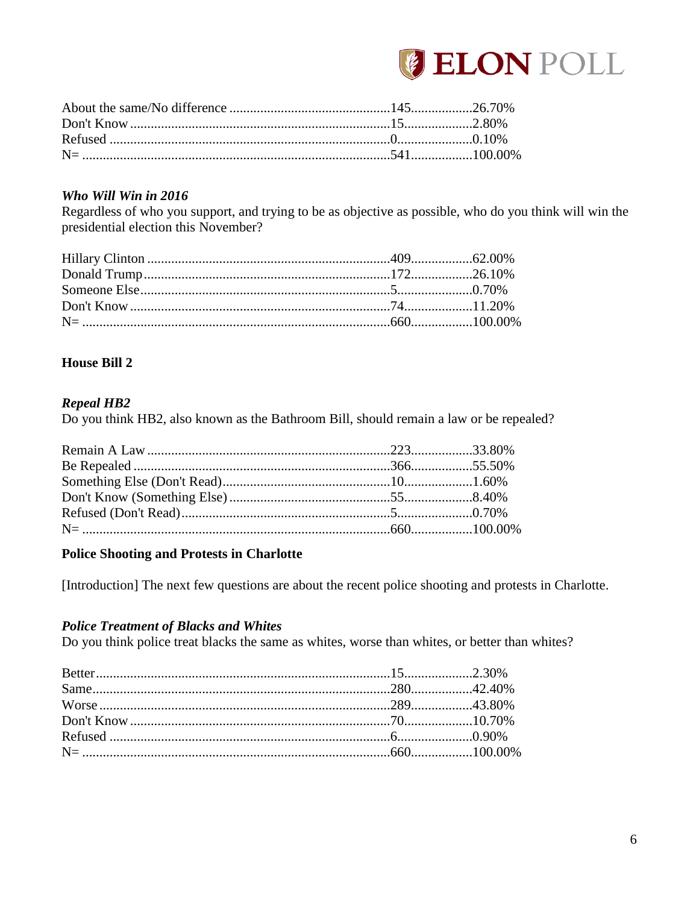

#### Who Will Win in 2016

Regardless of who you support, and trying to be as objective as possible, who do you think will win the presidential election this November?

## <span id="page-7-0"></span>**House Bill 2**

#### **Repeal HB2**

Do you think HB2, also known as the Bathroom Bill, should remain a law or be repealed?

#### <span id="page-7-1"></span>**Police Shooting and Protests in Charlotte**

[Introduction] The next few questions are about the recent police shooting and protests in Charlotte.

# **Police Treatment of Blacks and Whites**

Do you think police treat blacks the same as whites, worse than whites, or better than whites?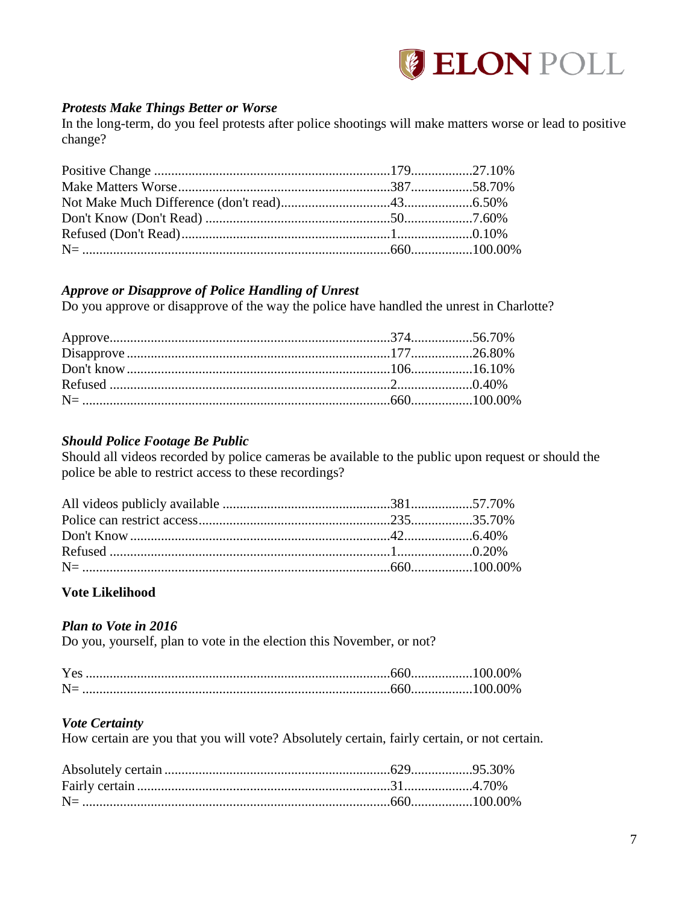

## *Protests Make Things Better or Worse*

In the long-term, do you feel protests after police shootings will make matters worse or lead to positive change?

## *Approve or Disapprove of Police Handling of Unrest*

Do you approve or disapprove of the way the police have handled the unrest in Charlotte?

## *Should Police Footage Be Public*

Should all videos recorded by police cameras be available to the public upon request or should the police be able to restrict access to these recordings?

#### <span id="page-8-0"></span>**Vote Likelihood**

#### *Plan to Vote in 2016*

Do you, yourself, plan to vote in the election this November, or not?

| Yes |  |
|-----|--|
|     |  |

# *Vote Certainty*

How certain are you that you will vote? Absolutely certain, fairly certain, or not certain.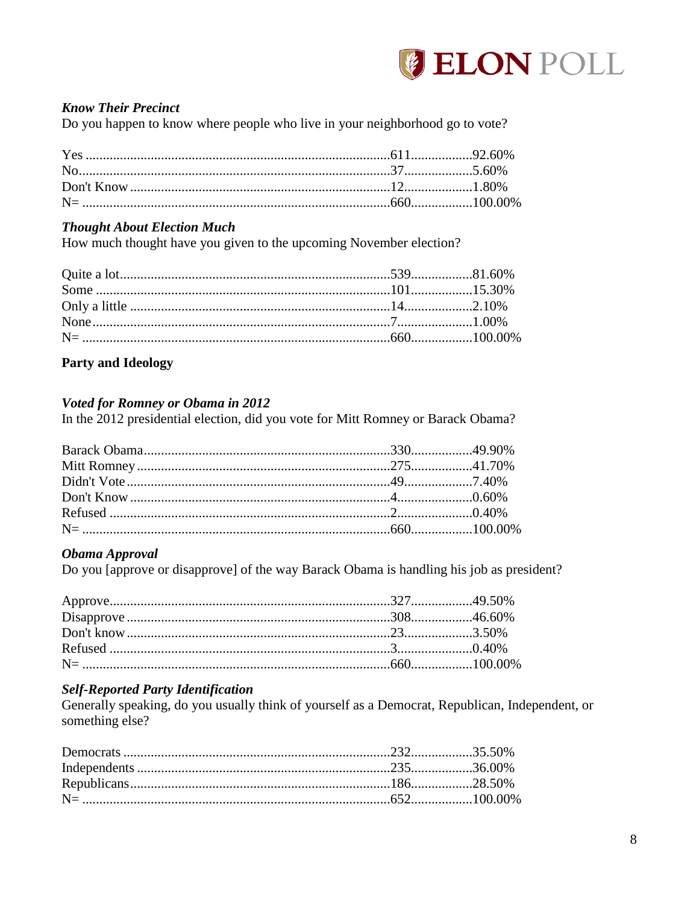

# **Know Their Precinct**

Do you happen to know where people who live in your neighborhood go to vote?

## **Thought About Election Much**

How much thought have you given to the upcoming November election?

## <span id="page-9-0"></span>**Party and Ideology**

#### **Voted for Romney or Obama in 2012**

In the 2012 presidential election, did you vote for Mitt Romney or Barack Obama?

#### Obama Approval

Do you [approve or disapprove] of the way Barack Obama is handling his job as president?

#### **Self-Reported Party Identification**

Generally speaking, do you usually think of yourself as a Democrat, Republican, Independent, or something else?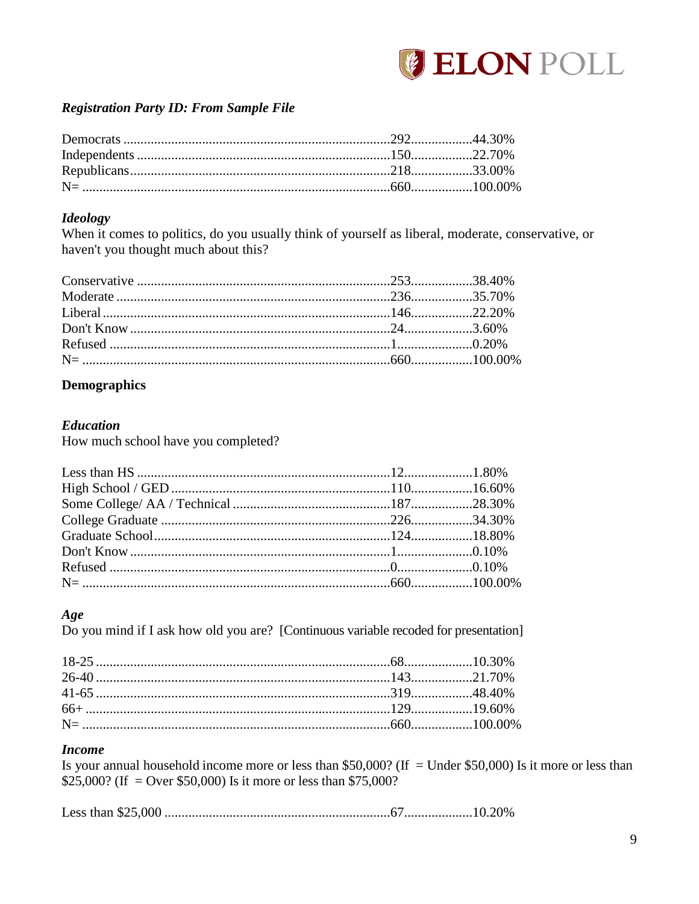

# **Registration Party ID: From Sample File**

#### **Ideology**

When it comes to politics, do you usually think of yourself as liberal, moderate, conservative, or haven't you thought much about this?

# <span id="page-10-0"></span>**Demographics**

#### **Education**

How much school have you completed?

# Age

Do you mind if I ask how old you are? [Continuous variable recoded for presentation]

# **Income**

Is your annual household income more or less than \$50,000? (If = Under \$50,000) Is it more or less than \$25,000? (If = Over \$50,000) Is it more or less than \$75,000?

|--|--|--|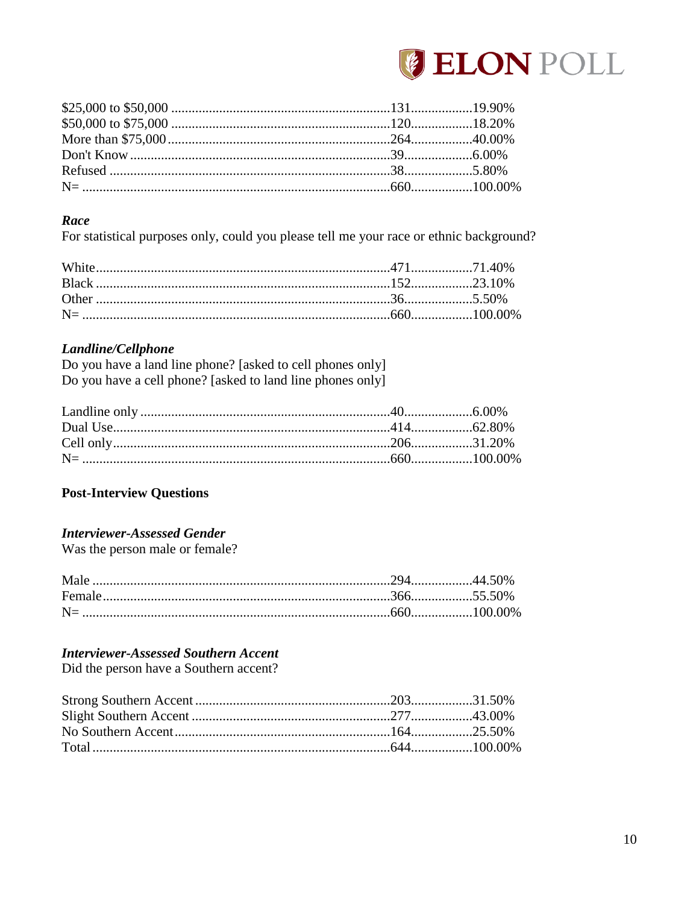

## Race

For statistical purposes only, could you please tell me your race or ethnic background?

# Landline/Cellphone

Do you have a land line phone? [asked to cell phones only] Do you have a cell phone? [asked to land line phones only]

# <span id="page-11-0"></span>**Post-Interview Questions**

# **Interviewer-Assessed Gender**

Was the person male or female?

# **Interviewer-Assessed Southern Accent**

Did the person have a Southern accent?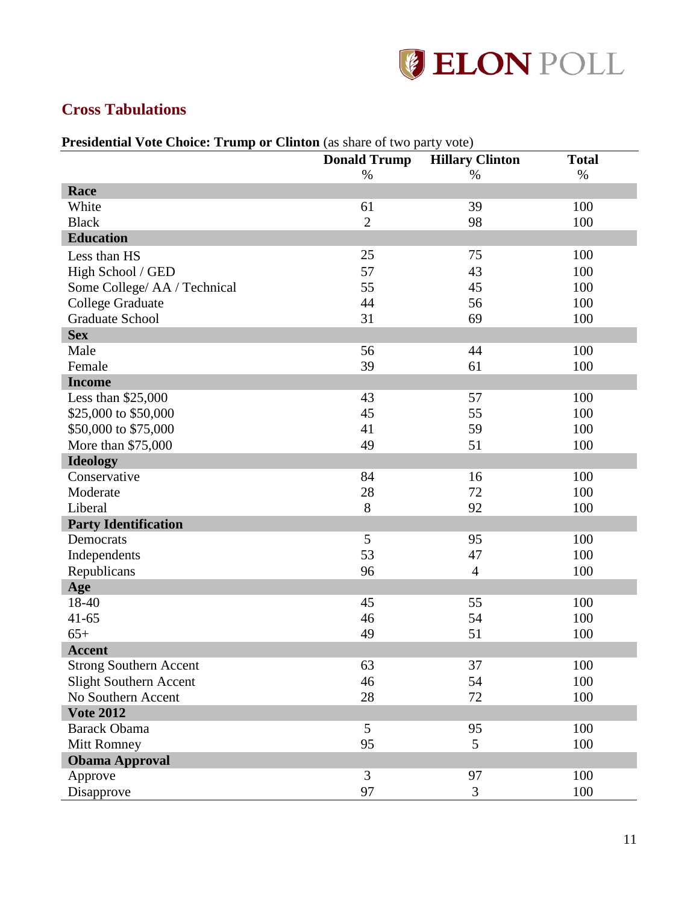

# <span id="page-12-0"></span>**Cross Tabulations**

| <b>Presidential Vote Choice: Trump or Clinton</b> (as share of two party vote) |  |
|--------------------------------------------------------------------------------|--|
|--------------------------------------------------------------------------------|--|

|                               | <b>Donald Trump</b> | <b>Hillary Clinton</b> | <b>Total</b> |
|-------------------------------|---------------------|------------------------|--------------|
|                               | $\%$                | $\%$                   | $\%$         |
| Race                          |                     |                        |              |
| White                         | 61                  | 39                     | 100          |
| <b>Black</b>                  | $\overline{2}$      | 98                     | 100          |
| <b>Education</b>              |                     |                        |              |
| Less than HS                  | 25                  | 75                     | 100          |
| High School / GED             | 57                  | 43                     | 100          |
| Some College/ AA / Technical  | 55                  | 45                     | 100          |
| <b>College Graduate</b>       | 44                  | 56                     | 100          |
| <b>Graduate School</b>        | 31                  | 69                     | 100          |
| <b>Sex</b>                    |                     |                        |              |
| Male                          | 56                  | 44                     | 100          |
| Female                        | 39                  | 61                     | 100          |
| <b>Income</b>                 |                     |                        |              |
| Less than \$25,000            | 43                  | 57                     | 100          |
| \$25,000 to \$50,000          | 45                  | 55                     | 100          |
| \$50,000 to \$75,000          | 41                  | 59                     | 100          |
| More than \$75,000            | 49                  | 51                     | 100          |
| <b>Ideology</b>               |                     |                        |              |
| Conservative                  | 84                  | 16                     | 100          |
| Moderate                      | 28                  | 72                     | 100          |
| Liberal                       | 8                   | 92                     | 100          |
| <b>Party Identification</b>   |                     |                        |              |
| Democrats                     | 5                   | 95                     | 100          |
| Independents                  | 53                  | 47                     | 100          |
| Republicans                   | 96                  | $\overline{4}$         | 100          |
| Age                           |                     |                        |              |
| 18-40                         | 45                  | 55                     | 100          |
| $41 - 65$                     | 46                  | 54                     | 100          |
| $65+$                         | 49                  | 51                     | 100          |
| <b>Accent</b>                 |                     |                        |              |
| <b>Strong Southern Accent</b> | 63                  | 37                     | 100          |
| <b>Slight Southern Accent</b> | 46                  | 54                     | 100          |
| No Southern Accent            | 28                  | $72\,$                 | 100          |
| <b>Vote 2012</b>              |                     |                        |              |
| <b>Barack Obama</b>           | 5                   | 95                     | 100          |
| <b>Mitt Romney</b>            | 95                  | 5                      | 100          |
| <b>Obama Approval</b>         |                     |                        |              |
| Approve                       | 3                   | 97                     | 100          |
| Disapprove                    | 97                  | 3                      | 100          |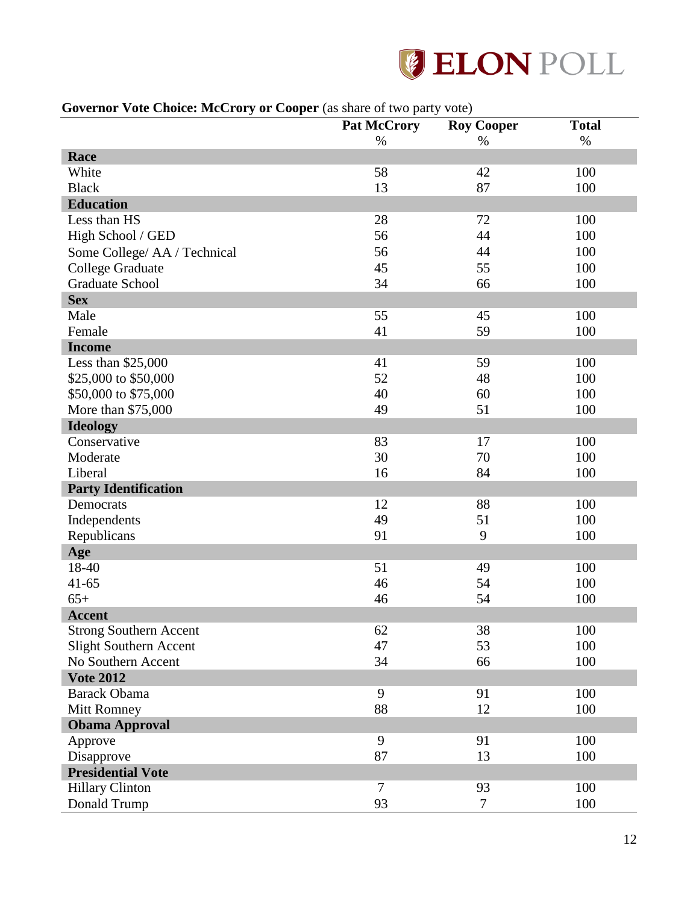

# **Governor Vote Choice: McCrory or Cooper** (as share of two party vote)

| <b>OUTCHING</b> TORE CHURC: MCCTUTY OF COOPER (as share of two party TORE) |                    |                   |              |
|----------------------------------------------------------------------------|--------------------|-------------------|--------------|
|                                                                            | <b>Pat McCrory</b> | <b>Roy Cooper</b> | <b>Total</b> |
|                                                                            | $\%$               | $\%$              | $\%$         |
| Race                                                                       |                    |                   |              |
| White                                                                      | 58                 | 42                | 100          |
| <b>Black</b>                                                               | 13                 | 87                | 100          |
| <b>Education</b>                                                           |                    |                   |              |
| Less than HS                                                               | 28                 | 72                | 100          |
| High School / GED                                                          | 56                 | 44                | 100          |
| Some College/ AA / Technical                                               | 56                 | 44                | 100          |
| <b>College Graduate</b>                                                    | 45                 | 55                | 100          |
| <b>Graduate School</b>                                                     | 34                 | 66                | 100          |
| <b>Sex</b>                                                                 |                    |                   |              |
| Male                                                                       | 55                 | 45                | 100          |
| Female                                                                     | 41                 | 59                | 100          |
| <b>Income</b>                                                              |                    |                   |              |
| Less than \$25,000                                                         | 41                 | 59                | 100          |
| \$25,000 to \$50,000                                                       | 52                 | 48                | 100          |
| \$50,000 to \$75,000                                                       | 40                 | 60                | 100          |
| More than \$75,000                                                         | 49                 | 51                | 100          |
| <b>Ideology</b>                                                            |                    |                   |              |
| Conservative                                                               | 83                 | 17                | 100          |
| Moderate                                                                   | 30                 | 70                | 100          |
| Liberal                                                                    | 16                 | 84                | 100          |
| <b>Party Identification</b>                                                |                    |                   |              |
| Democrats                                                                  | 12                 | 88                | 100          |
| Independents                                                               | 49                 | 51                | 100          |
| Republicans                                                                | 91                 | 9                 | 100          |
| Age                                                                        |                    |                   |              |
| 18-40                                                                      | 51                 | 49                | 100          |
| $41 - 65$                                                                  | 46                 | 54                | 100          |
| $65+$                                                                      | 46                 | 54                | 100          |
| <b>Accent</b>                                                              |                    |                   |              |
| <b>Strong Southern Accent</b>                                              | 62                 | 38                | 100          |
| Slight Southern Accent                                                     | 47                 | 53                | 100          |
| No Southern Accent                                                         | 34                 | 66                | 100          |
| <b>Vote 2012</b>                                                           |                    |                   |              |
| <b>Barack Obama</b>                                                        | 9                  | 91                | 100          |
| Mitt Romney                                                                | 88                 | 12                | 100          |
| <b>Obama Approval</b>                                                      |                    |                   |              |
| Approve                                                                    | 9                  | 91                | 100          |
| Disapprove                                                                 | 87                 | 13                | 100          |
| <b>Presidential Vote</b>                                                   |                    |                   |              |
| <b>Hillary Clinton</b>                                                     | $\overline{7}$     | 93                | 100          |
| Donald Trump                                                               | 93                 | 7                 | 100          |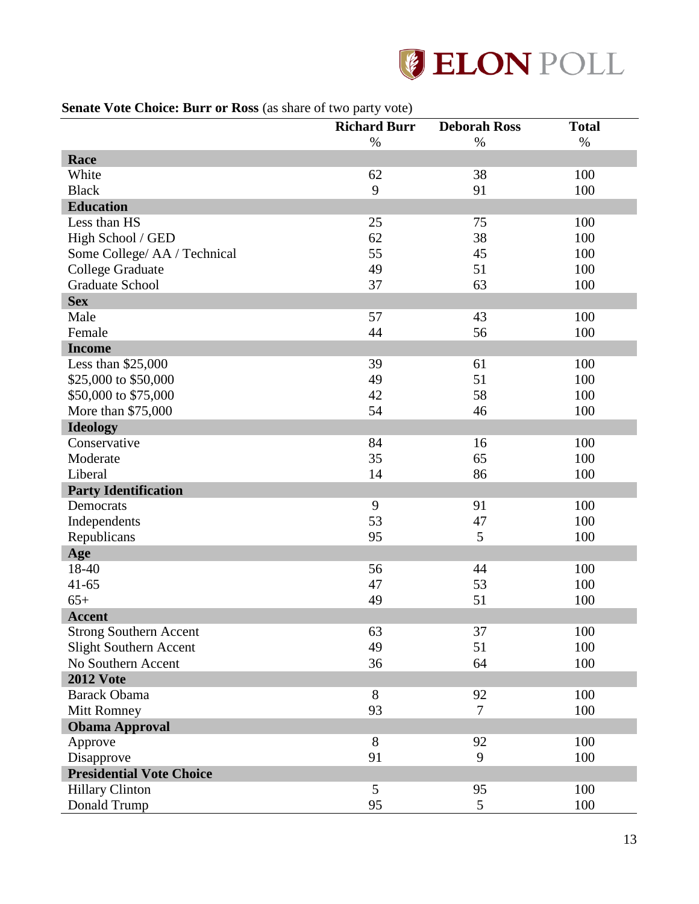

## **Senate Vote Choice: Burr or Ross** (as share of two party vote)

|                                 | <b>Richard Burr</b> | <b>Deborah Ross</b> | <b>Total</b> |
|---------------------------------|---------------------|---------------------|--------------|
|                                 | %                   | $\%$                | $\%$         |
| Race                            |                     |                     |              |
| White                           | 62                  | 38                  | 100          |
| <b>Black</b>                    | 9                   | 91                  | 100          |
| <b>Education</b>                |                     |                     |              |
| Less than HS                    | 25                  | 75                  | 100          |
| High School / GED               | 62                  | 38                  | 100          |
| Some College/ AA / Technical    | 55                  | 45                  | 100          |
| <b>College Graduate</b>         | 49                  | 51                  | 100          |
| <b>Graduate School</b>          | 37                  | 63                  | 100          |
| <b>Sex</b>                      |                     |                     |              |
| Male                            | 57                  | 43                  | 100          |
| Female                          | 44                  | 56                  | 100          |
| <b>Income</b>                   |                     |                     |              |
| Less than \$25,000              | 39                  | 61                  | 100          |
| \$25,000 to \$50,000            | 49                  | 51                  | 100          |
| \$50,000 to \$75,000            | 42                  | 58                  | 100          |
| More than \$75,000              | 54                  | 46                  | 100          |
| <b>Ideology</b>                 |                     |                     |              |
| Conservative                    | 84                  | 16                  | 100          |
| Moderate                        | 35                  | 65                  | 100          |
| Liberal                         | 14                  | 86                  | 100          |
| <b>Party Identification</b>     |                     |                     |              |
| Democrats                       | 9                   | 91                  | 100          |
| Independents                    | 53                  | 47                  | 100          |
| Republicans                     | 95                  | 5                   | 100          |
| Age                             |                     |                     |              |
| 18-40                           | 56                  | 44                  | 100          |
| $41 - 65$                       | 47                  | 53                  | 100          |
| $65+$                           | 49                  | 51                  | 100          |
| <b>Accent</b>                   |                     |                     |              |
| <b>Strong Southern Accent</b>   | 63                  | 37                  | 100          |
| Slight Southern Accent          | 49                  | 51                  | 100          |
| No Southern Accent              | 36                  | 64                  | 100          |
| <b>2012 Vote</b>                |                     |                     |              |
| <b>Barack Obama</b>             | 8                   | 92                  | 100          |
| Mitt Romney                     | 93                  | $\tau$              | 100          |
| <b>Obama Approval</b>           |                     |                     |              |
| Approve                         | 8                   | 92                  | 100          |
| Disapprove                      | 91                  | 9                   | 100          |
| <b>Presidential Vote Choice</b> |                     |                     |              |
| <b>Hillary Clinton</b>          | 5                   | 95                  | 100          |
| Donald Trump                    | 95                  | 5                   | 100          |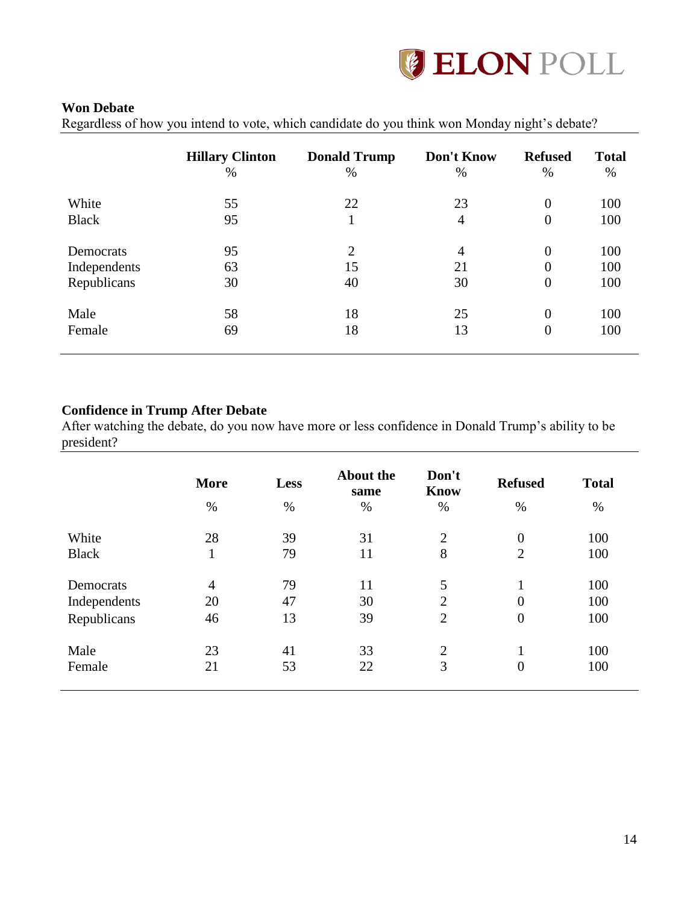

#### **Won Debate**

Regardless of how you intend to vote, which candidate do you think won Monday night's debate?

| <b>Hillary Clinton</b><br>$\%$ | <b>Donald Trump</b><br>$\%$ | Don't Know<br>$\%$ | <b>Refused</b><br>$\%$ | <b>Total</b><br>$\%$ |
|--------------------------------|-----------------------------|--------------------|------------------------|----------------------|
| 55                             | 22                          | 23                 | $\theta$               | 100                  |
| 95                             |                             | $\overline{4}$     | $\boldsymbol{0}$       | 100                  |
| 95                             | $\overline{2}$              | $\overline{4}$     | $\theta$               | 100                  |
| 63                             | 15                          | 21                 | $\theta$               | 100                  |
| 30                             | 40                          | 30                 | $\boldsymbol{0}$       | 100                  |
| 58                             | 18                          | 25                 | $\theta$               | 100                  |
| 69                             | 18                          | 13                 | $\overline{0}$         | 100                  |
|                                |                             |                    |                        |                      |

# **Confidence in Trump After Debate**

After watching the debate, do you now have more or less confidence in Donald Trump's ability to be president?

|              | <b>More</b><br>$\%$ | Less<br>$\%$ | <b>About the</b><br>same<br>$\%$ | Don't<br><b>Know</b><br>$\%$ | <b>Refused</b><br>$\%$ | <b>Total</b><br>$\%$ |
|--------------|---------------------|--------------|----------------------------------|------------------------------|------------------------|----------------------|
| White        | 28                  | 39           | 31                               | $\overline{2}$               | $\boldsymbol{0}$       | 100                  |
| <b>Black</b> | 1                   | 79           | 11                               | 8                            | $\overline{2}$         | 100                  |
| Democrats    | $\overline{4}$      | 79           | 11                               | 5                            | 1                      | 100                  |
| Independents | 20                  | 47           | 30                               | $\overline{2}$               | $\overline{0}$         | 100                  |
| Republicans  | 46                  | 13           | 39                               | $\overline{2}$               | $\boldsymbol{0}$       | 100                  |
| Male         | 23                  | 41           | 33                               | 2                            | 1                      | 100                  |
| Female       | 21                  | 53           | 22                               | 3                            | $\overline{0}$         | 100                  |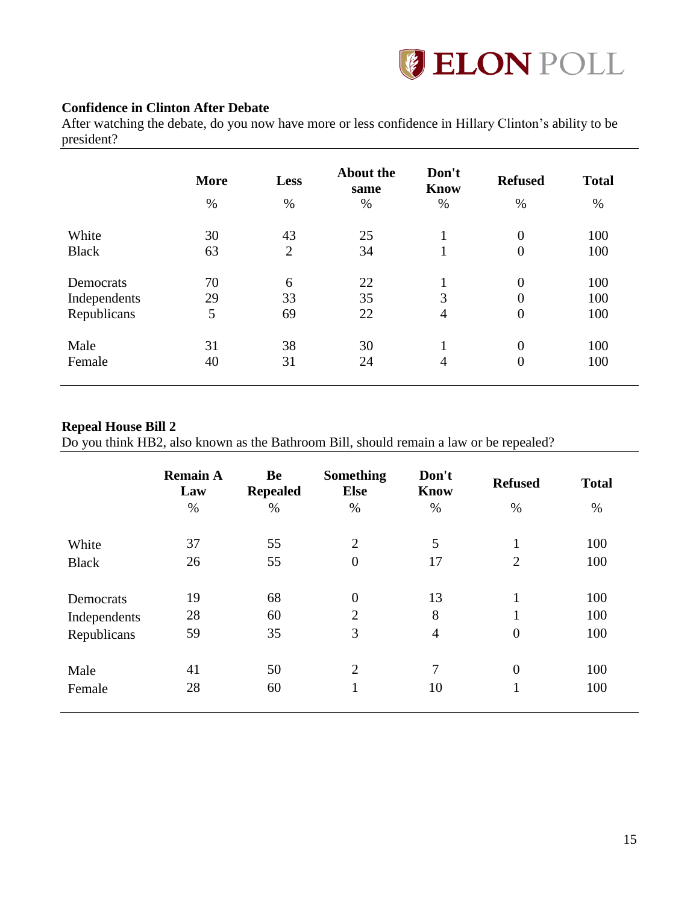

# **Confidence in Clinton After Debate**

After watching the debate, do you now have more or less confidence in Hillary Clinton's ability to be president?

| <b>Know</b><br>same<br>$\%$<br>$\%$ | <b>Refused</b><br>$\%$ | <b>Total</b><br>%                      |
|-------------------------------------|------------------------|----------------------------------------|
| 25                                  | $\overline{0}$         | 100                                    |
| 34                                  | $\overline{0}$         | 100                                    |
| 22<br>1                             | $\overline{0}$         | 100                                    |
| 3<br>35                             | $\overline{0}$         | 100                                    |
| 22<br>4                             | $\boldsymbol{0}$       | 100                                    |
| 30                                  | $\overline{0}$         | 100                                    |
|                                     |                        | 100                                    |
|                                     |                        | $\overline{0}$<br>24<br>$\overline{4}$ |

#### **Repeal House Bill 2**

Do you think HB2, also known as the Bathroom Bill, should remain a law or be repealed?

|              | <b>Remain A</b><br>Law | <b>Be</b><br><b>Repealed</b> | <b>Something</b><br><b>Else</b> | Don't<br><b>Know</b> | <b>Refused</b> | <b>Total</b> |
|--------------|------------------------|------------------------------|---------------------------------|----------------------|----------------|--------------|
|              | $\%$                   | $\%$                         | $\%$                            | $\%$                 | $\%$           | $\%$         |
| White        | 37                     | 55                           | $\overline{2}$                  | 5                    |                | 100          |
| <b>Black</b> | 26                     | 55                           | $\boldsymbol{0}$                | 17                   | $\overline{2}$ | 100          |
|              |                        |                              |                                 |                      |                |              |
| Democrats    | 19                     | 68                           | $\overline{0}$                  | 13                   | 1              | 100          |
| Independents | 28                     | 60                           | $\overline{2}$                  | 8                    |                | 100          |
| Republicans  | 59                     | 35                           | 3                               | $\overline{4}$       | $\overline{0}$ | 100          |
|              |                        |                              |                                 |                      |                |              |
| Male         | 41                     | 50                           | $\overline{2}$                  | 7                    | $\overline{0}$ | 100          |
| Female       | 28                     | 60                           | 1                               | 10                   | 1              | 100          |
|              |                        |                              |                                 |                      |                |              |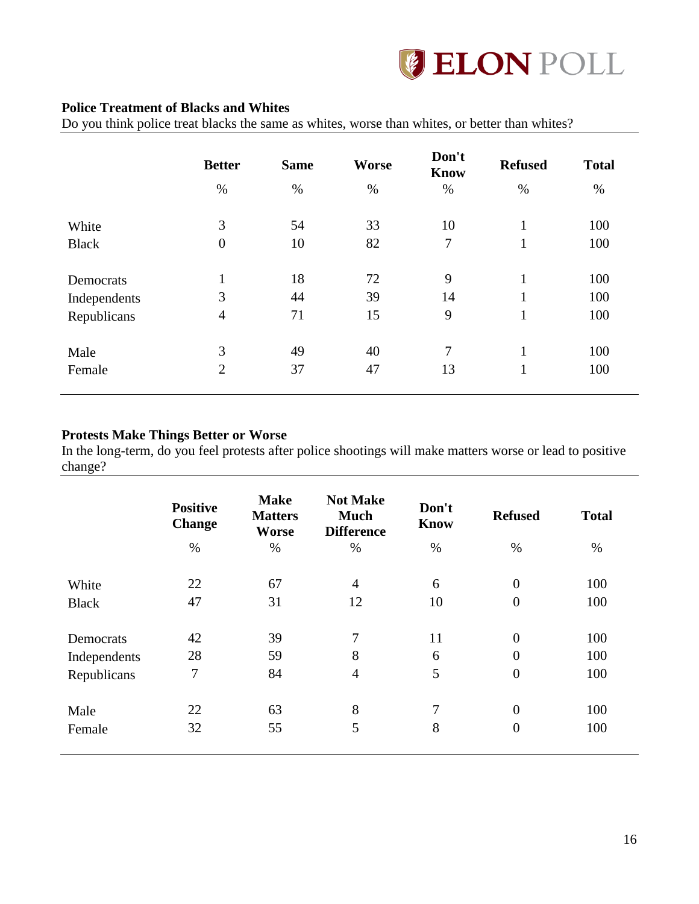

## **Police Treatment of Blacks and Whites**

Do you think police treat blacks the same as whites, worse than whites, or better than whites?

|              | <b>Better</b>    | <b>Same</b> | <b>Worse</b> | Don't<br><b>Know</b> | <b>Refused</b> | <b>Total</b> |
|--------------|------------------|-------------|--------------|----------------------|----------------|--------------|
|              | $\%$             | $\%$        | $\%$         | $\%$                 | $\%$           | %            |
| White        | 3                | 54          | 33           | 10                   | $\mathbf{1}$   | 100          |
| <b>Black</b> | $\boldsymbol{0}$ | 10          | 82           | 7                    | 1              | 100          |
| Democrats    | $\mathbf{1}$     | 18          | 72           | 9                    | $\mathbf{1}$   | 100          |
| Independents | 3                | 44          | 39           | 14                   | $\mathbf{1}$   | 100          |
| Republicans  | $\overline{4}$   | 71          | 15           | 9                    | $\mathbf{1}$   | 100          |
| Male         | 3                | 49          | 40           | 7                    | $\mathbf{1}$   | 100          |
| Female       | $\overline{2}$   | 37          | 47           | 13                   | $\mathbf{1}$   | 100          |

#### **Protests Make Things Better or Worse**

In the long-term, do you feel protests after police shootings will make matters worse or lead to positive change?

|              | <b>Positive</b><br><b>Change</b> | <b>Make</b><br><b>Matters</b><br>Worse | <b>Not Make</b><br><b>Much</b><br><b>Difference</b> | Don't<br><b>Know</b> | <b>Refused</b>   | <b>Total</b> |
|--------------|----------------------------------|----------------------------------------|-----------------------------------------------------|----------------------|------------------|--------------|
|              | $\%$                             | $\%$                                   | $\%$                                                | $\%$                 | $\%$             | $\%$         |
| White        | 22                               | 67                                     | $\overline{4}$                                      | 6                    | $\boldsymbol{0}$ | 100          |
| <b>Black</b> | 47                               | 31                                     | 12                                                  | 10                   | $\overline{0}$   | 100          |
|              |                                  |                                        |                                                     |                      |                  |              |
| Democrats    | 42                               | 39                                     | 7                                                   | 11                   | $\overline{0}$   | 100          |
| Independents | 28                               | 59                                     | 8                                                   | 6                    | $\overline{0}$   | 100          |
| Republicans  | 7                                | 84                                     | $\overline{4}$                                      | 5                    | $\boldsymbol{0}$ | 100          |
| Male         | 22                               | 63                                     | 8                                                   | 7                    | $\overline{0}$   | 100          |
| Female       | 32                               | 55                                     | 5                                                   | 8                    | $\overline{0}$   | 100          |
|              |                                  |                                        |                                                     |                      |                  |              |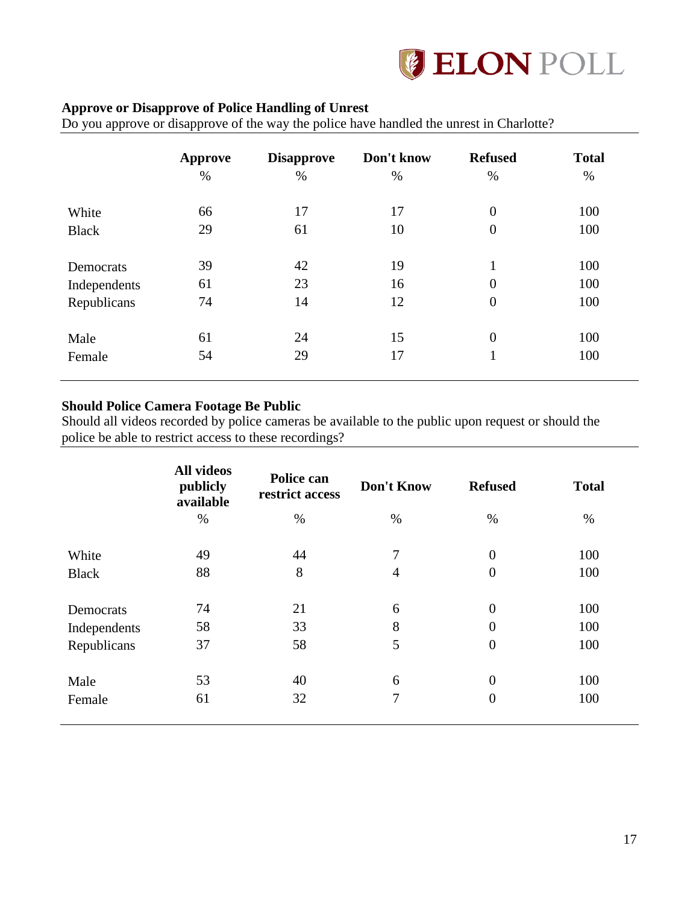

# **Approve or Disapprove of Police Handling of Unrest**

Do you approve or disapprove of the way the police have handled the unrest in Charlotte?

|              | <b>Approve</b><br>$\%$ | <b>Disapprove</b><br>$\%$ | Don't know<br>$\%$ | <b>Refused</b><br>% | <b>Total</b><br>% |
|--------------|------------------------|---------------------------|--------------------|---------------------|-------------------|
| White        | 66                     | 17                        | 17                 | $\overline{0}$      | 100               |
| <b>Black</b> | 29                     | 61                        | 10                 | $\overline{0}$      | 100               |
| Democrats    | 39                     | 42                        | 19                 | $\mathbf{1}$        | 100               |
| Independents | 61                     | 23                        | 16                 | $\boldsymbol{0}$    | 100               |
| Republicans  | 74                     | 14                        | 12                 | $\boldsymbol{0}$    | 100               |
| Male         | 61                     | 24                        | 15                 | $\boldsymbol{0}$    | 100               |
| Female       | 54                     | 29                        | 17                 | 1<br>ı              | 100               |

## **Should Police Camera Footage Be Public**

Should all videos recorded by police cameras be available to the public upon request or should the police be able to restrict access to these recordings?

|              | <b>All videos</b><br>publicly<br>available | Police can<br>restrict access | Don't Know     | <b>Refused</b>   | <b>Total</b> |
|--------------|--------------------------------------------|-------------------------------|----------------|------------------|--------------|
|              | $\%$                                       | $\%$                          | $\%$           | $\%$             | $\%$         |
| White        | 49                                         | 44                            | 7              | $\overline{0}$   | 100          |
| <b>Black</b> | 88                                         | 8                             | $\overline{4}$ | $\boldsymbol{0}$ | 100          |
| Democrats    | 74                                         | 21                            | 6              | $\overline{0}$   | 100          |
| Independents | 58                                         | 33                            | 8              | 0                | 100          |
| Republicans  | 37                                         | 58                            | 5              | $\overline{0}$   | 100          |
| Male         | 53                                         | 40                            | 6              | 0                | 100          |
| Female       | 61                                         | 32                            | 7              | $\overline{0}$   | 100          |
|              |                                            |                               |                |                  |              |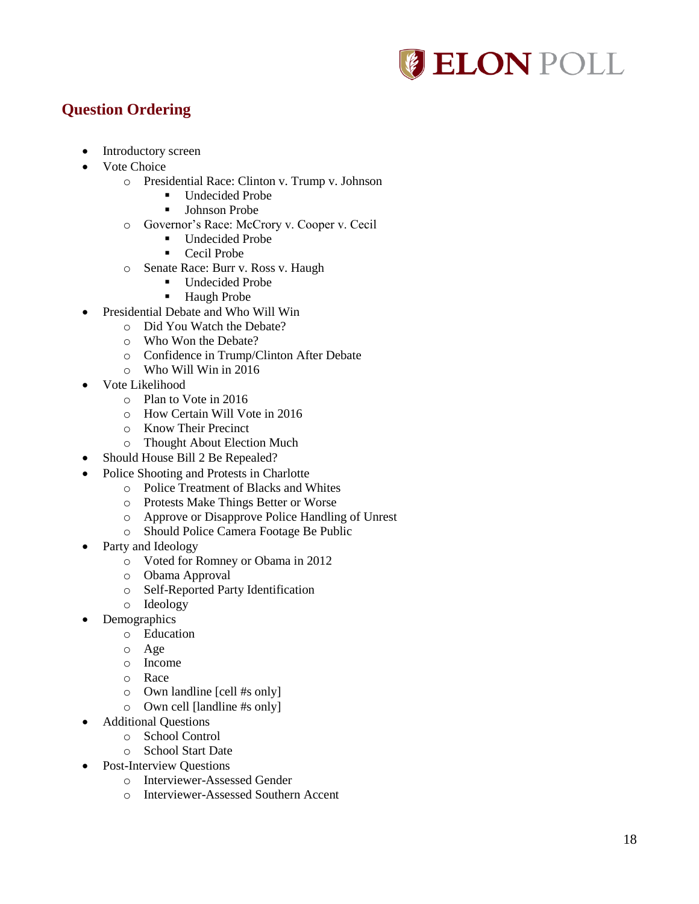

# <span id="page-19-0"></span>**Question Ordering**

- Introductory screen
- Vote Choice
	- o Presidential Race: Clinton v. Trump v. Johnson
		- Undecided Probe
		- **Johnson Probe**
		- o Governor's Race: McCrory v. Cooper v. Cecil
			- Undecided Probe
			- Cecil Probe
		- o Senate Race: Burr v. Ross v. Haugh
			- Undecided Probe
			- Haugh Probe
- Presidential Debate and Who Will Win
	- o Did You Watch the Debate?
	- o Who Won the Debate?
	- o Confidence in Trump/Clinton After Debate
	- o Who Will Win in 2016
- Vote Likelihood
	- o Plan to Vote in 2016
	- o How Certain Will Vote in 2016
	- o Know Their Precinct
	- o Thought About Election Much
- Should House Bill 2 Be Repealed?
- Police Shooting and Protests in Charlotte
	- o Police Treatment of Blacks and Whites
	- o Protests Make Things Better or Worse
	- o Approve or Disapprove Police Handling of Unrest
	- o Should Police Camera Footage Be Public
- Party and Ideology
	- o Voted for Romney or Obama in 2012
	- o Obama Approval
	- o Self-Reported Party Identification
	- o Ideology
- Demographics
	- o Education
		- o Age
		- o Income
		- o Race
		- o Own landline [cell #s only]
		- o Own cell [landline #s only]
- Additional Questions
	- o School Control
	- o School Start Date
- Post-Interview Questions
	- o Interviewer-Assessed Gender
	- o Interviewer-Assessed Southern Accent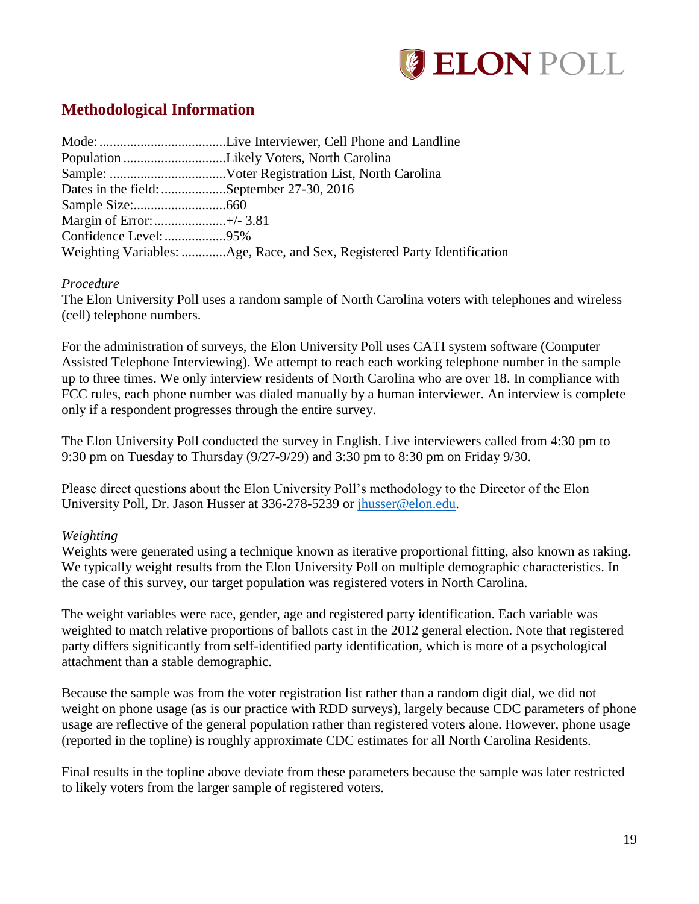

# <span id="page-20-0"></span>**Methodological Information**

| Dates in the field: September 27-30, 2016 |                                                                          |
|-------------------------------------------|--------------------------------------------------------------------------|
|                                           |                                                                          |
|                                           |                                                                          |
|                                           |                                                                          |
|                                           | Weighting Variables: Age, Race, and Sex, Registered Party Identification |

#### *Procedure*

The Elon University Poll uses a random sample of North Carolina voters with telephones and wireless (cell) telephone numbers.

For the administration of surveys, the Elon University Poll uses CATI system software (Computer Assisted Telephone Interviewing). We attempt to reach each working telephone number in the sample up to three times. We only interview residents of North Carolina who are over 18. In compliance with FCC rules, each phone number was dialed manually by a human interviewer. An interview is complete only if a respondent progresses through the entire survey.

The Elon University Poll conducted the survey in English. Live interviewers called from 4:30 pm to 9:30 pm on Tuesday to Thursday (9/27-9/29) and 3:30 pm to 8:30 pm on Friday 9/30.

Please direct questions about the Elon University Poll's methodology to the Director of the Elon University Poll, Dr. Jason Husser at 336-278-5239 or [jhusser@elon.edu.](mailto:jhusser@elon.edu)

# *Weighting*

Weights were generated using a technique known as iterative proportional fitting, also known as raking. We typically weight results from the Elon University Poll on multiple demographic characteristics. In the case of this survey, our target population was registered voters in North Carolina.

The weight variables were race, gender, age and registered party identification. Each variable was weighted to match relative proportions of ballots cast in the 2012 general election. Note that registered party differs significantly from self-identified party identification, which is more of a psychological attachment than a stable demographic.

Because the sample was from the voter registration list rather than a random digit dial, we did not weight on phone usage (as is our practice with RDD surveys), largely because CDC parameters of phone usage are reflective of the general population rather than registered voters alone. However, phone usage (reported in the topline) is roughly approximate CDC estimates for all North Carolina Residents.

Final results in the topline above deviate from these parameters because the sample was later restricted to likely voters from the larger sample of registered voters.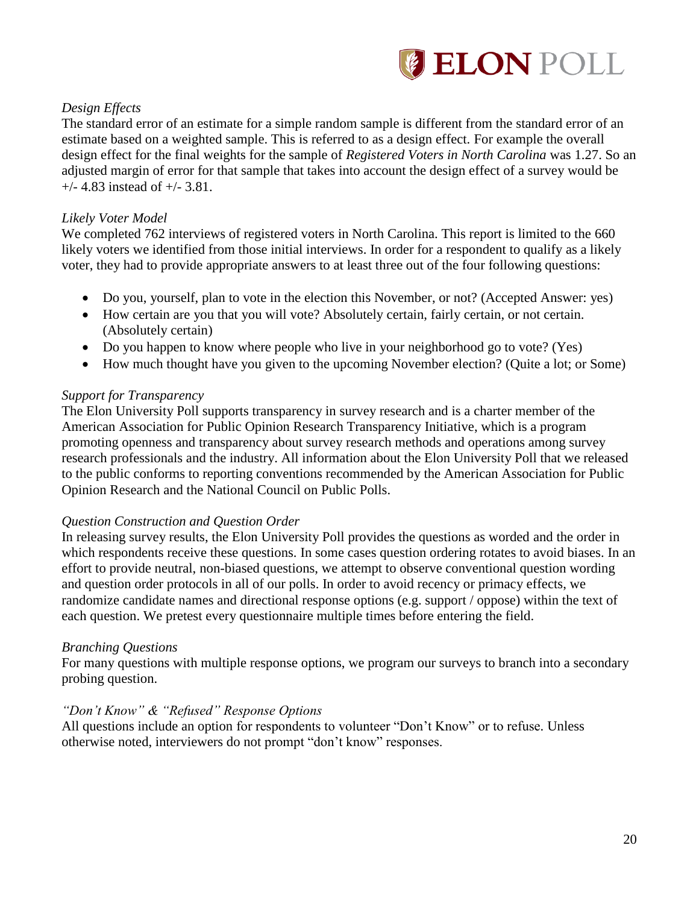

# *Design Effects*

The standard error of an estimate for a simple random sample is different from the standard error of an estimate based on a weighted sample. This is referred to as a design effect. For example the overall design effect for the final weights for the sample of *Registered Voters in North Carolina* was 1.27. So an adjusted margin of error for that sample that takes into account the design effect of a survey would be  $+/-$  4.83 instead of  $+/-$  3.81.

## *Likely Voter Model*

We completed 762 interviews of registered voters in North Carolina. This report is limited to the 660 likely voters we identified from those initial interviews. In order for a respondent to qualify as a likely voter, they had to provide appropriate answers to at least three out of the four following questions:

- Do you, yourself, plan to vote in the election this November, or not? (Accepted Answer: yes)
- How certain are you that you will vote? Absolutely certain, fairly certain, or not certain. (Absolutely certain)
- Do you happen to know where people who live in your neighborhood go to vote? (Yes)
- How much thought have you given to the upcoming November election? (Quite a lot; or Some)

## *Support for Transparency*

The Elon University Poll supports transparency in survey research and is a charter member of the American Association for Public Opinion Research Transparency Initiative, which is a program promoting openness and transparency about survey research methods and operations among survey research professionals and the industry. All information about the Elon University Poll that we released to the public conforms to reporting conventions recommended by the American Association for Public Opinion Research and the National Council on Public Polls.

#### *Question Construction and Question Order*

In releasing survey results, the Elon University Poll provides the questions as worded and the order in which respondents receive these questions. In some cases question ordering rotates to avoid biases. In an effort to provide neutral, non-biased questions, we attempt to observe conventional question wording and question order protocols in all of our polls. In order to avoid recency or primacy effects, we randomize candidate names and directional response options (e.g. support / oppose) within the text of each question. We pretest every questionnaire multiple times before entering the field.

#### *Branching Questions*

For many questions with multiple response options, we program our surveys to branch into a secondary probing question.

#### *"Don't Know" & "Refused" Response Options*

All questions include an option for respondents to volunteer "Don't Know" or to refuse. Unless otherwise noted, interviewers do not prompt "don't know" responses.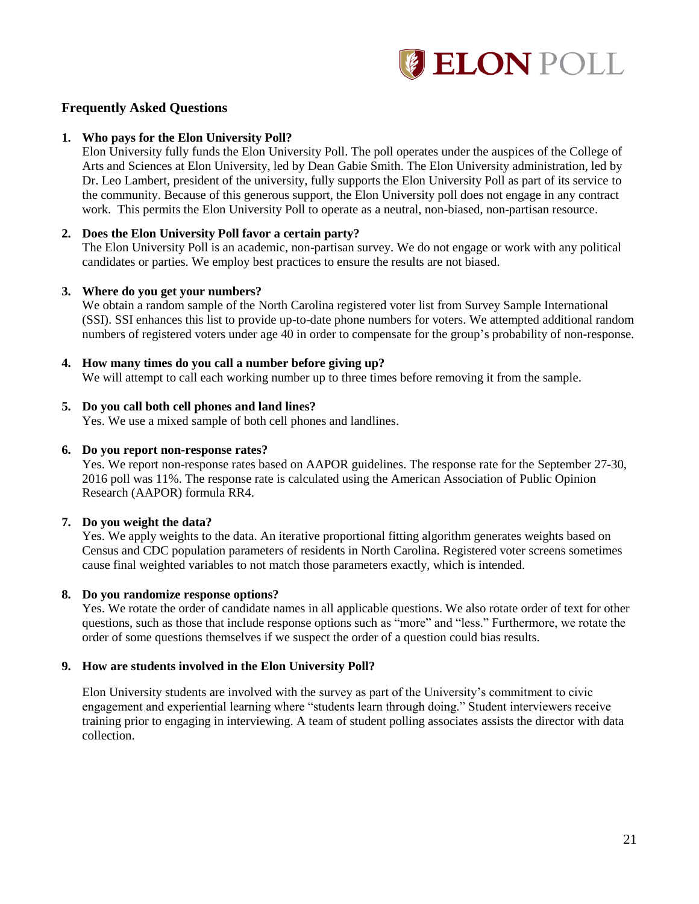

#### **Frequently Asked Questions**

#### **1. Who pays for the Elon University Poll?**

Elon University fully funds the Elon University Poll. The poll operates under the auspices of the College of Arts and Sciences at Elon University, led by Dean Gabie Smith. The Elon University administration, led by Dr. Leo Lambert, president of the university, fully supports the Elon University Poll as part of its service to the community. Because of this generous support, the Elon University poll does not engage in any contract work. This permits the Elon University Poll to operate as a neutral, non-biased, non-partisan resource.

#### **2. Does the Elon University Poll favor a certain party?**

The Elon University Poll is an academic, non-partisan survey. We do not engage or work with any political candidates or parties. We employ best practices to ensure the results are not biased.

#### **3. Where do you get your numbers?**

We obtain a random sample of the North Carolina registered voter list from Survey Sample International (SSI). SSI enhances this list to provide up-to-date phone numbers for voters. We attempted additional random numbers of registered voters under age 40 in order to compensate for the group's probability of non-response.

#### **4. How many times do you call a number before giving up?**

We will attempt to call each working number up to three times before removing it from the sample.

#### **5. Do you call both cell phones and land lines?**

Yes. We use a mixed sample of both cell phones and landlines.

#### **6. Do you report non-response rates?**

Yes. We report non-response rates based on AAPOR guidelines. The response rate for the September 27-30, 2016 poll was 11%. The response rate is calculated using the American Association of Public Opinion Research (AAPOR) formula RR4.

#### **7. Do you weight the data?**

Yes. We apply weights to the data. An iterative proportional fitting algorithm generates weights based on Census and CDC population parameters of residents in North Carolina. Registered voter screens sometimes cause final weighted variables to not match those parameters exactly, which is intended.

#### **8. Do you randomize response options?**

Yes. We rotate the order of candidate names in all applicable questions. We also rotate order of text for other questions, such as those that include response options such as "more" and "less." Furthermore, we rotate the order of some questions themselves if we suspect the order of a question could bias results.

#### **9. How are students involved in the Elon University Poll?**

Elon University students are involved with the survey as part of the University's commitment to civic engagement and experiential learning where "students learn through doing." Student interviewers receive training prior to engaging in interviewing. A team of student polling associates assists the director with data collection.